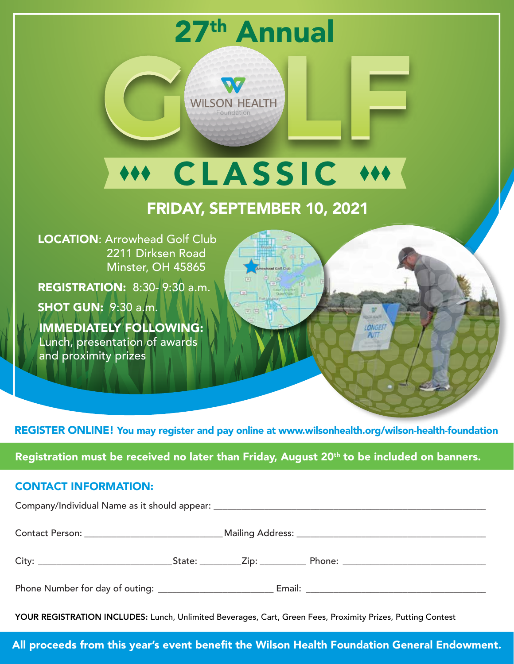

REGISTER ONLINE! You may register and pay online at www.wilsonhealth.org/wilson-health-foundation

Registration must be received no later than Friday, August 20<sup>th</sup> to be included on banners.

### CONTACT INFORMATION:

YOUR REGISTRATION INCLUDES: Lunch, Unlimited Beverages, Cart, Green Fees, Proximity Prizes, Putting Contest

All proceeds from this year's event benefit the Wilson Health Foundation General Endowment.